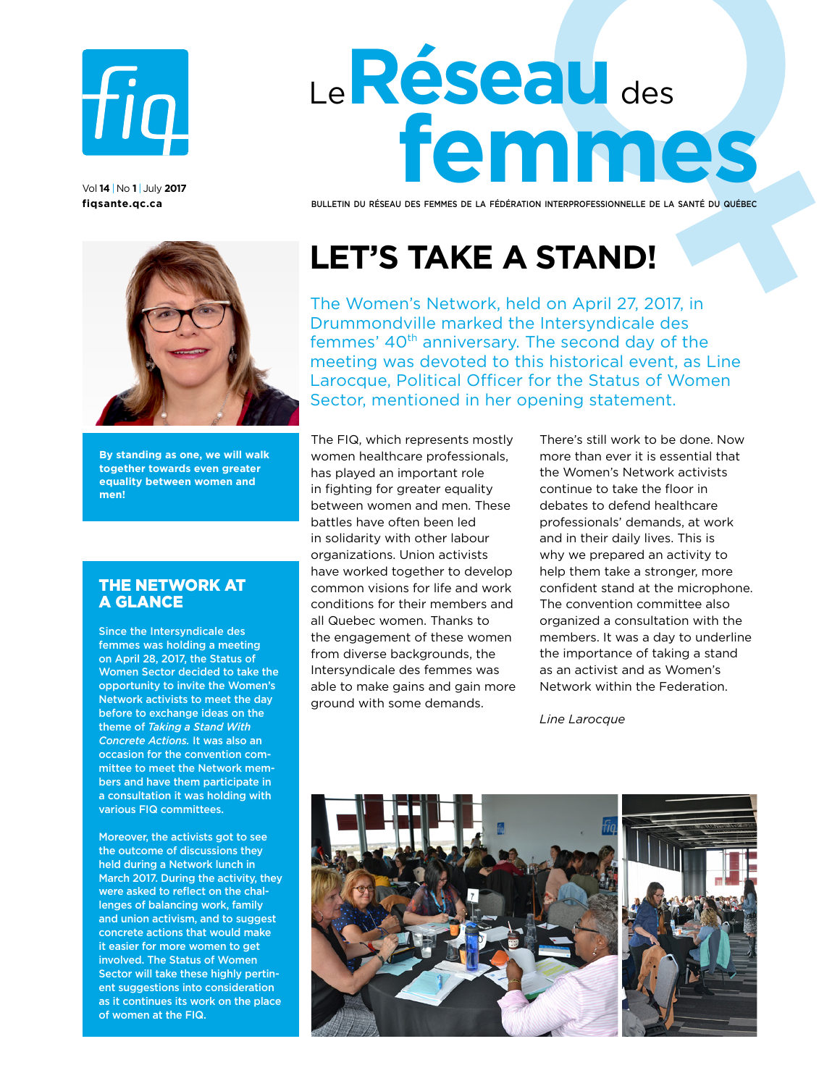

vol **14** |no **1** | July **2017 [fiqsante.qc.ca](http://fiqsante.qc.ca)** 

# Le**Réseau** des **femmes**

Bulletin du Réseau des femmes de la fédération interprofessionnelle de la santé du québec

**By standing as one, we will walk together towards even greater equality between women and men!** 

### THE NETWORK AT A GLANCE

Since the Intersyndicale des femmes was holding a meeting on April 28, 2017, the Status of Women Sector decided to take the opportunity to invite the Women's Network activists to meet the day before to exchange ideas on the theme of *Taking a Stand With Concrete Actions.* It was also an occasion for the convention committee to meet the Network members and have them participate in a consultation it was holding with various FIQ committees.

Moreover, the activists got to see the outcome of discussions they held during a Network lunch in March 2017. During the activity, they were asked to reflect on the challenges of balancing work, family and union activism, and to suggest concrete actions that would make it easier for more women to get involved. The Status of Women Sector will take these highly pertinent suggestions into consideration as it continues its work on the place of women at the FIQ.

# **Let's take a stand!**

The Women's Network, held on April 27, 2017, in Drummondville marked the Intersyndicale des femmes' 40<sup>th</sup> anniversary. The second day of the meeting was devoted to this historical event, as Line Larocque, Political Officer for the Status of Women Sector, mentioned in her opening statement.

The FIQ, which represents mostly women healthcare professionals, has played an important role in fighting for greater equality between women and men. These battles have often been led in solidarity with other labour organizations. Union activists have worked together to develop common visions for life and work conditions for their members and all Quebec women. Thanks to the engagement of these women from diverse backgrounds, the Intersyndicale des femmes was able to make gains and gain more ground with some demands.

There's still work to be done. Now more than ever it is essential that the Women's Network activists continue to take the floor in debates to defend healthcare professionals' demands, at work and in their daily lives. This is why we prepared an activity to help them take a stronger, more confident stand at the microphone. The convention committee also organized a consultation with the members. It was a day to underline the importance of taking a stand as an activist and as Women's Network within the Federation.

*Line Larocque*

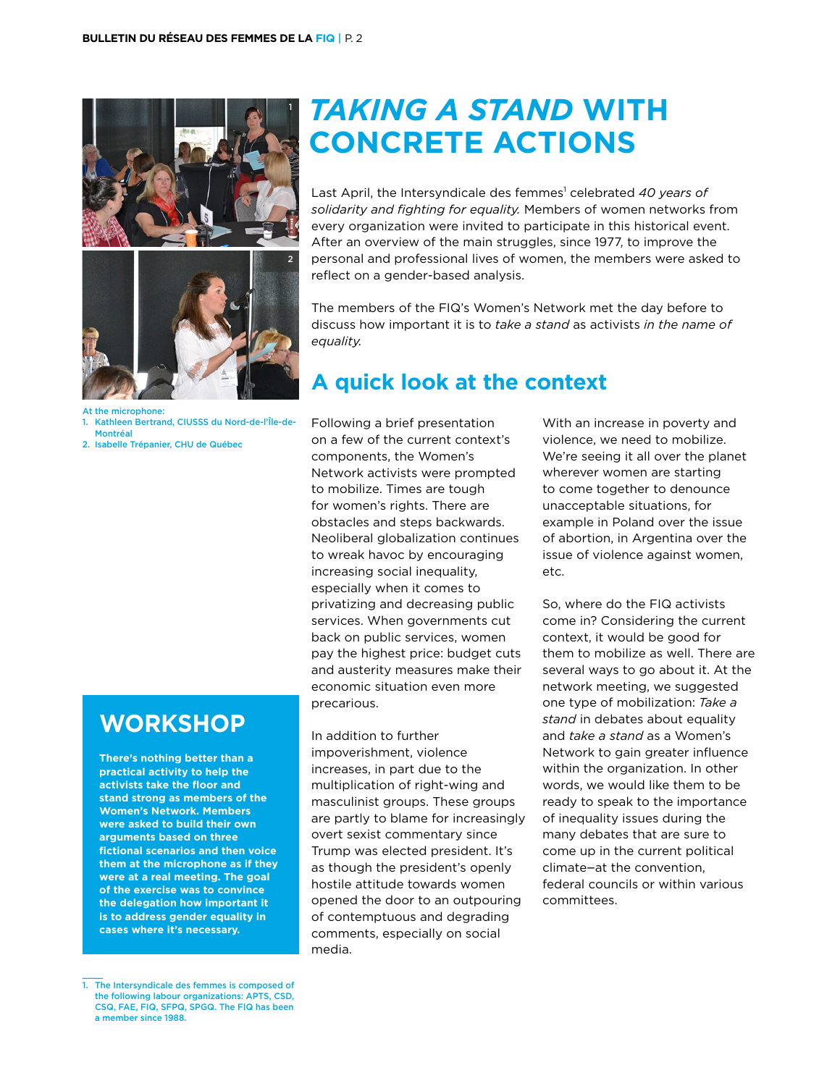

At the microphone:

1. Kathleen Bertrand, CIUSSS du Nord-de-l'Île-de-Montréal

2. Isabelle Trépanier, CHU de Québec

# **Workshop**

**There's nothing better than a practical activity to help the activists take the floor and stand strong as members of the Women's Network. Members were asked to build their own arguments based on three fictional scenarios and then voice them at the microphone as if they were at a real meeting. The goal of the exercise was to convince the delegation how important it is to address gender equality in cases where it's necessary.** 

*Taking a Stand* **With Concrete Actions**

Last April, the Intersyndicale des femmes<sup>1</sup> celebrated 40 years of *solidarity and fighting for equality.* Members of women networks from every organization were invited to participate in this historical event. After an overview of the main struggles, since 1977, to improve the personal and professional lives of women, the members were asked to reflect on a gender-based analysis.

The members of the FIQ's Women's Network met the day before to discuss how important it is to *take a stand* as activists *in the name of equality.*

# **A quick look at the context**

Following a brief presentation on a few of the current context's components, the Women's Network activists were prompted to mobilize. Times are tough for women's rights. There are obstacles and steps backwards. Neoliberal globalization continues to wreak havoc by encouraging increasing social inequality, especially when it comes to privatizing and decreasing public services. When governments cut back on public services, women pay the highest price: budget cuts and austerity measures make their economic situation even more precarious.

In addition to further impoverishment, violence increases, in part due to the multiplication of right-wing and masculinist groups. These groups are partly to blame for increasingly overt sexist commentary since Trump was elected president. It's as though the president's openly hostile attitude towards women opened the door to an outpouring of contemptuous and degrading comments, especially on social media.

With an increase in poverty and violence, we need to mobilize. We're seeing it all over the planet wherever women are starting to come together to denounce unacceptable situations, for example in Poland over the issue of abortion, in Argentina over the issue of violence against women, etc.

So, where do the FIQ activists come in? Considering the current context, it would be good for them to mobilize as well. There are several ways to go about it. At the network meeting, we suggested one type of mobilization: *Take a stand* in debates about equality and *take a stand* as a Women's Network to gain greater influence within the organization. In other words, we would like them to be ready to speak to the importance of inequality issues during the many debates that are sure to come up in the current political climate—at the convention, federal councils or within various committees.

The Intersyndicale des femmes is composed of the following labour organizations: APTS, CSD, CSQ, FAE, FIQ, SFPQ, SPGQ. The FIQ has been a member since 1988.